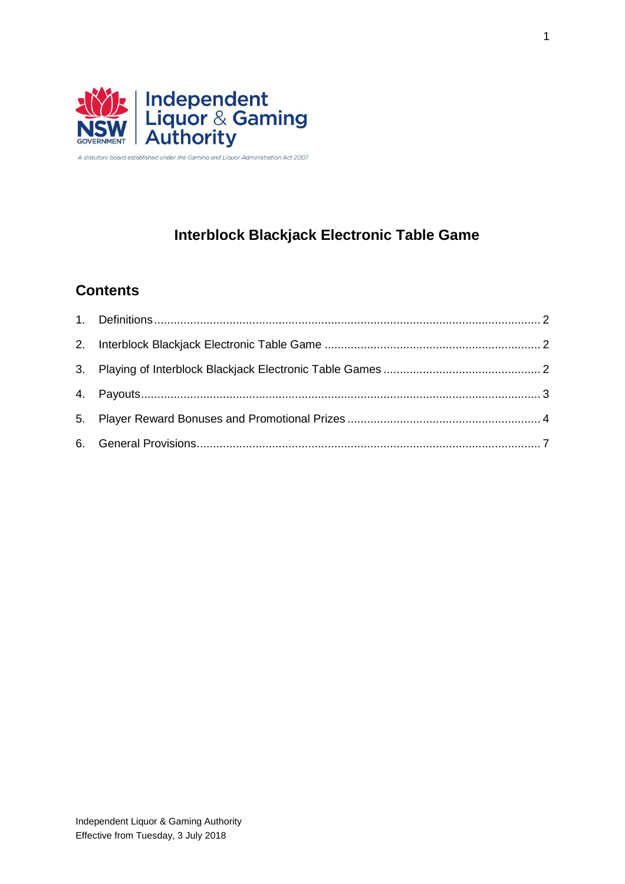

A statutory board established under the Gaming and Liquor Administration Act 2007

# **Interblock Blackjack Electronic Table Game**

## **Contents**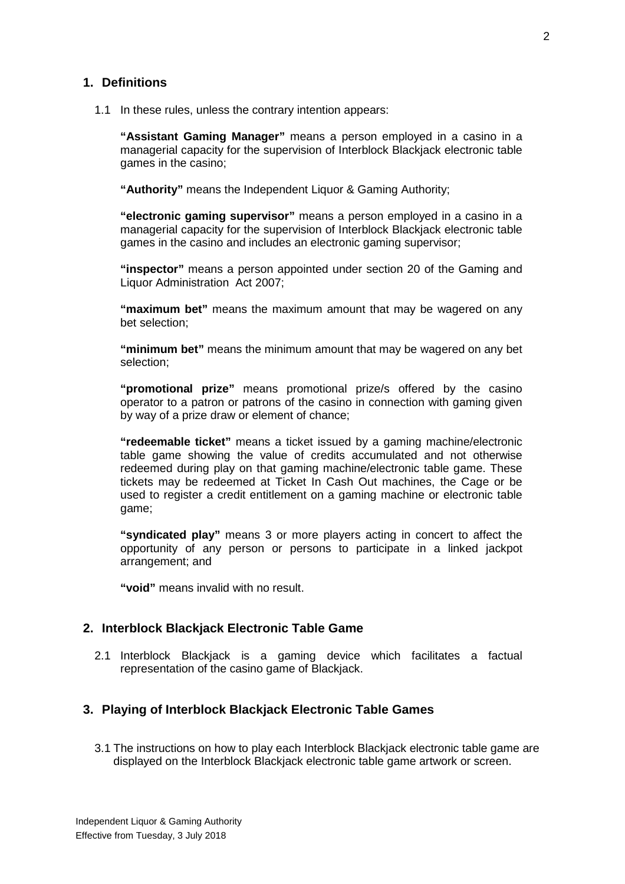#### **1. Definitions**

1.1 In these rules, unless the contrary intention appears:

**"Assistant Gaming Manager"** means a person employed in a casino in a managerial capacity for the supervision of Interblock Blackjack electronic table games in the casino;

**"Authority"** means the Independent Liquor & Gaming Authority;

**"electronic gaming supervisor"** means a person employed in a casino in a managerial capacity for the supervision of Interblock Blackjack electronic table games in the casino and includes an electronic gaming supervisor;

**"inspector"** means a person appointed under section 20 of the Gaming and Liquor Administration Act 2007;

**"maximum bet"** means the maximum amount that may be wagered on any bet selection;

**"minimum bet"** means the minimum amount that may be wagered on any bet selection;

**"promotional prize"** means promotional prize/s offered by the casino operator to a patron or patrons of the casino in connection with gaming given by way of a prize draw or element of chance;

**"redeemable ticket"** means a ticket issued by a gaming machine/electronic table game showing the value of credits accumulated and not otherwise redeemed during play on that gaming machine/electronic table game. These tickets may be redeemed at Ticket In Cash Out machines, the Cage or be used to register a credit entitlement on a gaming machine or electronic table game;

**"syndicated play"** means 3 or more players acting in concert to affect the opportunity of any person or persons to participate in a linked jackpot arrangement; and

**"void"** means invalid with no result.

#### **2. Interblock Blackjack Electronic Table Game**

2.1 Interblock Blackjack is a gaming device which facilitates a factual representation of the casino game of Blackjack.

### **3. Playing of Interblock Blackjack Electronic Table Games**

3.1 The instructions on how to play each Interblock Blackjack electronic table game are displayed on the Interblock Blackjack electronic table game artwork or screen.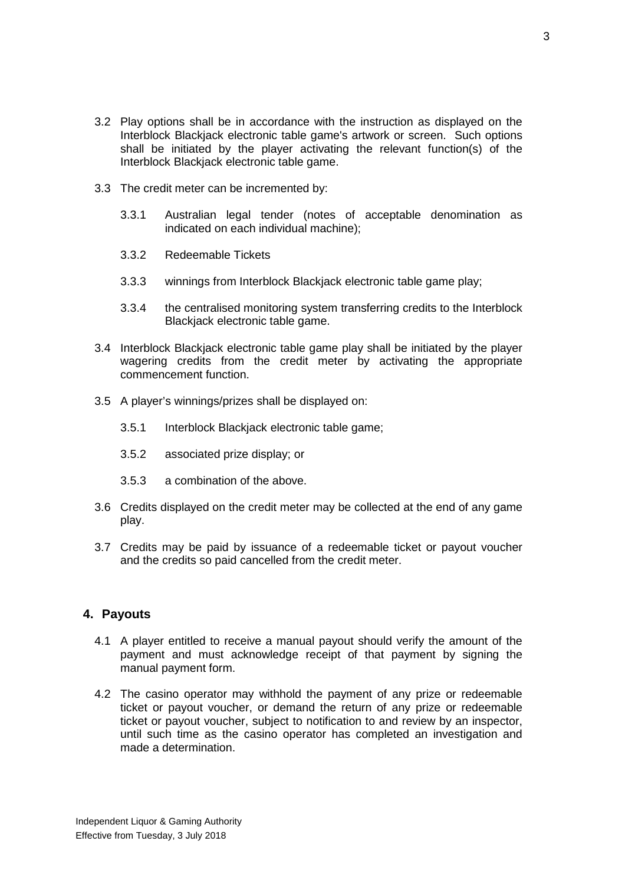- 3.2 Play options shall be in accordance with the instruction as displayed on the Interblock Blackjack electronic table game's artwork or screen. Such options shall be initiated by the player activating the relevant function(s) of the Interblock Blackjack electronic table game.
- 3.3 The credit meter can be incremented by:
	- 3.3.1 Australian legal tender (notes of acceptable denomination as indicated on each individual machine);
	- 3.3.2 Redeemable Tickets
	- 3.3.3 winnings from Interblock Blackjack electronic table game play;
	- 3.3.4 the centralised monitoring system transferring credits to the Interblock Blackjack electronic table game.
- 3.4 Interblock Blackjack electronic table game play shall be initiated by the player wagering credits from the credit meter by activating the appropriate commencement function.
- 3.5 A player's winnings/prizes shall be displayed on:
	- 3.5.1 Interblock Blackjack electronic table game;
	- 3.5.2 associated prize display; or
	- 3.5.3 a combination of the above.
- 3.6 Credits displayed on the credit meter may be collected at the end of any game play.
- 3.7 Credits may be paid by issuance of a redeemable ticket or payout voucher and the credits so paid cancelled from the credit meter.

#### **4. Payouts**

- 4.1 A player entitled to receive a manual payout should verify the amount of the payment and must acknowledge receipt of that payment by signing the manual payment form.
- 4.2 The casino operator may withhold the payment of any prize or redeemable ticket or payout voucher, or demand the return of any prize or redeemable ticket or payout voucher, subject to notification to and review by an inspector, until such time as the casino operator has completed an investigation and made a determination.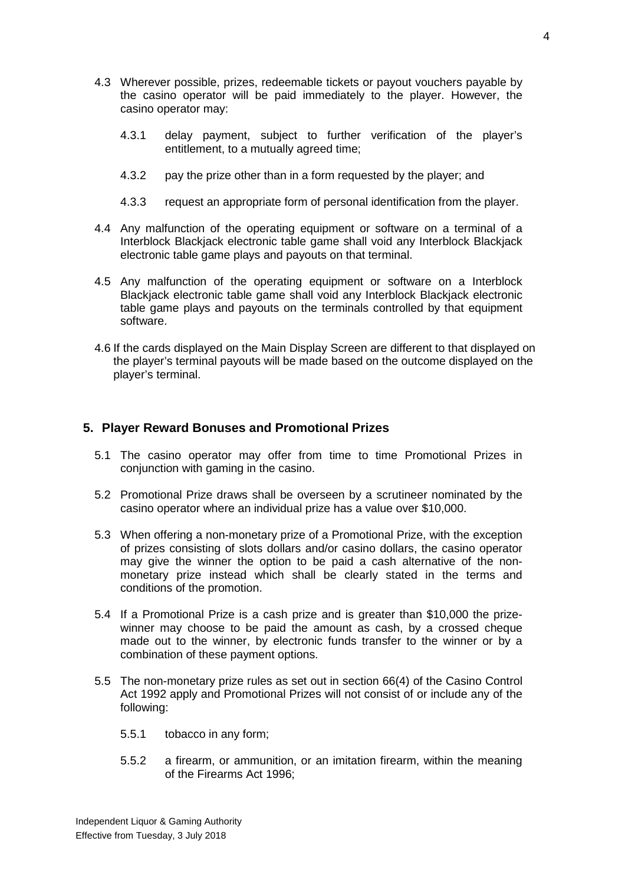- 4.3 Wherever possible, prizes, redeemable tickets or payout vouchers payable by the casino operator will be paid immediately to the player. However, the casino operator may:
	- 4.3.1 delay payment, subject to further verification of the player's entitlement, to a mutually agreed time;
	- 4.3.2 pay the prize other than in a form requested by the player; and
	- 4.3.3 request an appropriate form of personal identification from the player.
- 4.4 Any malfunction of the operating equipment or software on a terminal of a Interblock Blackjack electronic table game shall void any Interblock Blackjack electronic table game plays and payouts on that terminal.
- 4.5 Any malfunction of the operating equipment or software on a Interblock Blackjack electronic table game shall void any Interblock Blackjack electronic table game plays and payouts on the terminals controlled by that equipment software.
- 4.6 If the cards displayed on the Main Display Screen are different to that displayed on the player's terminal payouts will be made based on the outcome displayed on the player's terminal.

## **5. Player Reward Bonuses and Promotional Prizes**

- 5.1 The casino operator may offer from time to time Promotional Prizes in conjunction with gaming in the casino.
- 5.2 Promotional Prize draws shall be overseen by a scrutineer nominated by the casino operator where an individual prize has a value over \$10,000.
- 5.3 When offering a non-monetary prize of a Promotional Prize, with the exception of prizes consisting of slots dollars and/or casino dollars, the casino operator may give the winner the option to be paid a cash alternative of the nonmonetary prize instead which shall be clearly stated in the terms and conditions of the promotion.
- 5.4 If a Promotional Prize is a cash prize and is greater than \$10,000 the prizewinner may choose to be paid the amount as cash, by a crossed cheque made out to the winner, by electronic funds transfer to the winner or by a combination of these payment options.
- 5.5 The non-monetary prize rules as set out in section 66(4) of the Casino Control Act 1992 apply and Promotional Prizes will not consist of or include any of the following:
	- 5.5.1 tobacco in any form;
	- 5.5.2 a firearm, or ammunition, or an imitation firearm, within the meaning of the Firearms Act 1996;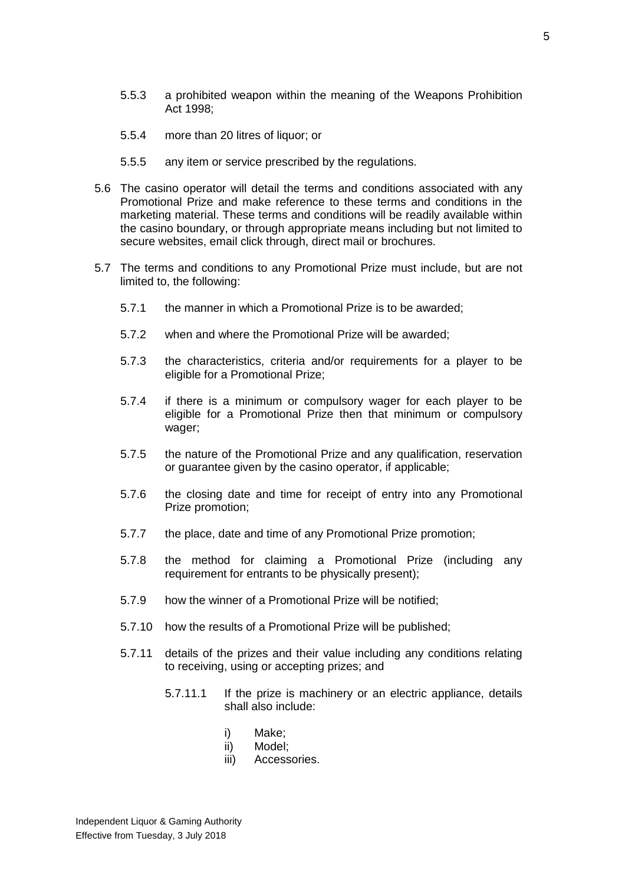- 5.5.3 a prohibited weapon within the meaning of the Weapons Prohibition Act 1998;
- 5.5.4 more than 20 litres of liquor; or
- 5.5.5 any item or service prescribed by the regulations.
- 5.6 The casino operator will detail the terms and conditions associated with any Promotional Prize and make reference to these terms and conditions in the marketing material. These terms and conditions will be readily available within the casino boundary, or through appropriate means including but not limited to secure websites, email click through, direct mail or brochures.
- 5.7 The terms and conditions to any Promotional Prize must include, but are not limited to, the following:
	- 5.7.1 the manner in which a Promotional Prize is to be awarded;
	- 5.7.2 when and where the Promotional Prize will be awarded;
	- 5.7.3 the characteristics, criteria and/or requirements for a player to be eligible for a Promotional Prize;
	- 5.7.4 if there is a minimum or compulsory wager for each player to be eligible for a Promotional Prize then that minimum or compulsory wager;
	- 5.7.5 the nature of the Promotional Prize and any qualification, reservation or guarantee given by the casino operator, if applicable;
	- 5.7.6 the closing date and time for receipt of entry into any Promotional Prize promotion;
	- 5.7.7 the place, date and time of any Promotional Prize promotion;
	- 5.7.8 the method for claiming a Promotional Prize (including any requirement for entrants to be physically present);
	- 5.7.9 how the winner of a Promotional Prize will be notified;
	- 5.7.10 how the results of a Promotional Prize will be published;
	- 5.7.11 details of the prizes and their value including any conditions relating to receiving, using or accepting prizes; and
		- 5.7.11.1 If the prize is machinery or an electric appliance, details shall also include:
			- i) Make;
			- ii) Model;
			- iii) Accessories.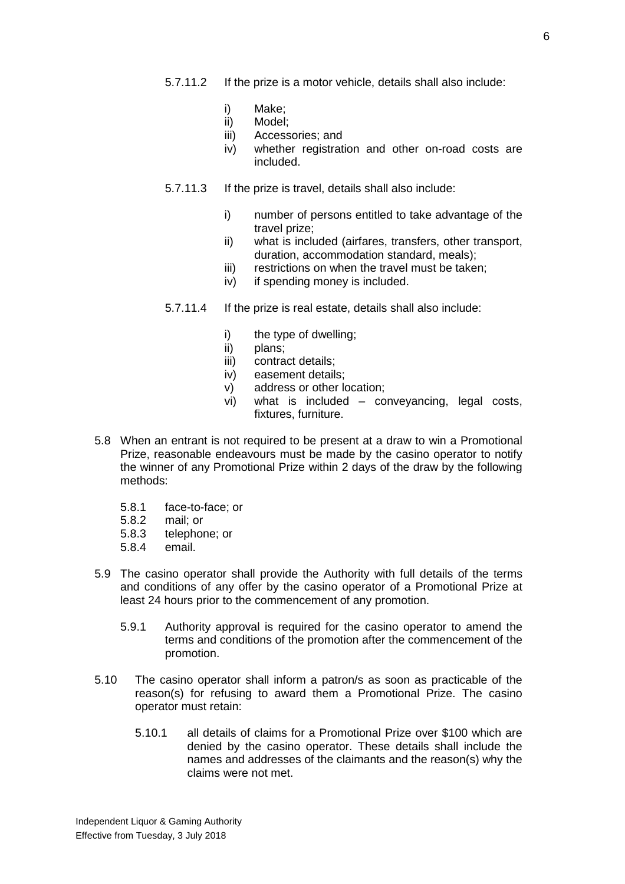- 5.7.11.2 If the prize is a motor vehicle, details shall also include:
	- i) Make;
	- ii) Model;
	- iii) Accessories; and
	- iv) whether registration and other on-road costs are included.
- 5.7.11.3 If the prize is travel, details shall also include:
	- i) number of persons entitled to take advantage of the travel prize;
	- ii) what is included (airfares, transfers, other transport, duration, accommodation standard, meals);
	- iii) restrictions on when the travel must be taken;
	- iv) if spending money is included.
- 5.7.11.4 If the prize is real estate, details shall also include:
	- i) the type of dwelling;
	- ii) plans;
	- iii) contract details;
	- iv) easement details;
	- v) address or other location;
	- vi) what is included conveyancing, legal costs, fixtures, furniture.
- 5.8 When an entrant is not required to be present at a draw to win a Promotional Prize, reasonable endeavours must be made by the casino operator to notify the winner of any Promotional Prize within 2 days of the draw by the following methods:
	- 5.8.1 face-to-face; or
	- 5.8.2 mail; or
	- 5.8.3 telephone; or<br>5.8.4 email.
	- $5.8.4$
- 5.9 The casino operator shall provide the Authority with full details of the terms and conditions of any offer by the casino operator of a Promotional Prize at least 24 hours prior to the commencement of any promotion.
	- 5.9.1 Authority approval is required for the casino operator to amend the terms and conditions of the promotion after the commencement of the promotion.
- 5.10 The casino operator shall inform a patron/s as soon as practicable of the reason(s) for refusing to award them a Promotional Prize. The casino operator must retain:
	- 5.10.1 all details of claims for a Promotional Prize over \$100 which are denied by the casino operator. These details shall include the names and addresses of the claimants and the reason(s) why the claims were not met.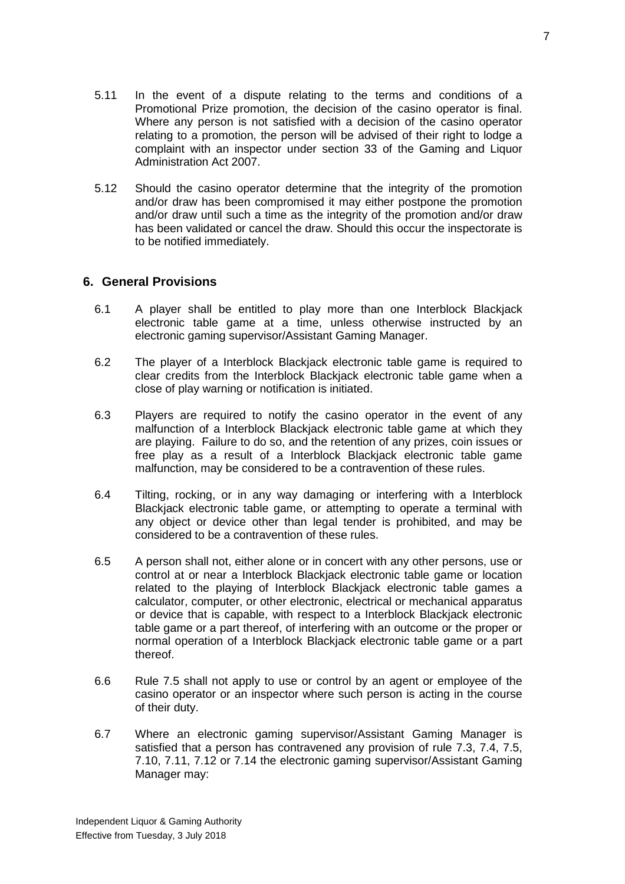- 5.11 In the event of a dispute relating to the terms and conditions of a Promotional Prize promotion, the decision of the casino operator is final. Where any person is not satisfied with a decision of the casino operator relating to a promotion, the person will be advised of their right to lodge a complaint with an inspector under section 33 of the Gaming and Liquor Administration Act 2007.
- 5.12 Should the casino operator determine that the integrity of the promotion and/or draw has been compromised it may either postpone the promotion and/or draw until such a time as the integrity of the promotion and/or draw has been validated or cancel the draw. Should this occur the inspectorate is to be notified immediately.

#### **6. General Provisions**

- 6.1 A player shall be entitled to play more than one Interblock Blackjack electronic table game at a time, unless otherwise instructed by an electronic gaming supervisor/Assistant Gaming Manager.
- 6.2 The player of a Interblock Blackjack electronic table game is required to clear credits from the Interblock Blackjack electronic table game when a close of play warning or notification is initiated.
- 6.3 Players are required to notify the casino operator in the event of any malfunction of a Interblock Blackjack electronic table game at which they are playing. Failure to do so, and the retention of any prizes, coin issues or free play as a result of a Interblock Blackjack electronic table game malfunction, may be considered to be a contravention of these rules.
- 6.4 Tilting, rocking, or in any way damaging or interfering with a Interblock Blackjack electronic table game, or attempting to operate a terminal with any object or device other than legal tender is prohibited, and may be considered to be a contravention of these rules.
- 6.5 A person shall not, either alone or in concert with any other persons, use or control at or near a Interblock Blackjack electronic table game or location related to the playing of Interblock Blackjack electronic table games a calculator, computer, or other electronic, electrical or mechanical apparatus or device that is capable, with respect to a Interblock Blackjack electronic table game or a part thereof, of interfering with an outcome or the proper or normal operation of a Interblock Blackjack electronic table game or a part thereof.
- 6.6 Rule 7.5 shall not apply to use or control by an agent or employee of the casino operator or an inspector where such person is acting in the course of their duty.
- 6.7 Where an electronic gaming supervisor/Assistant Gaming Manager is satisfied that a person has contravened any provision of rule 7.3, 7.4, 7.5, 7.10, 7.11, 7.12 or 7.14 the electronic gaming supervisor/Assistant Gaming Manager may: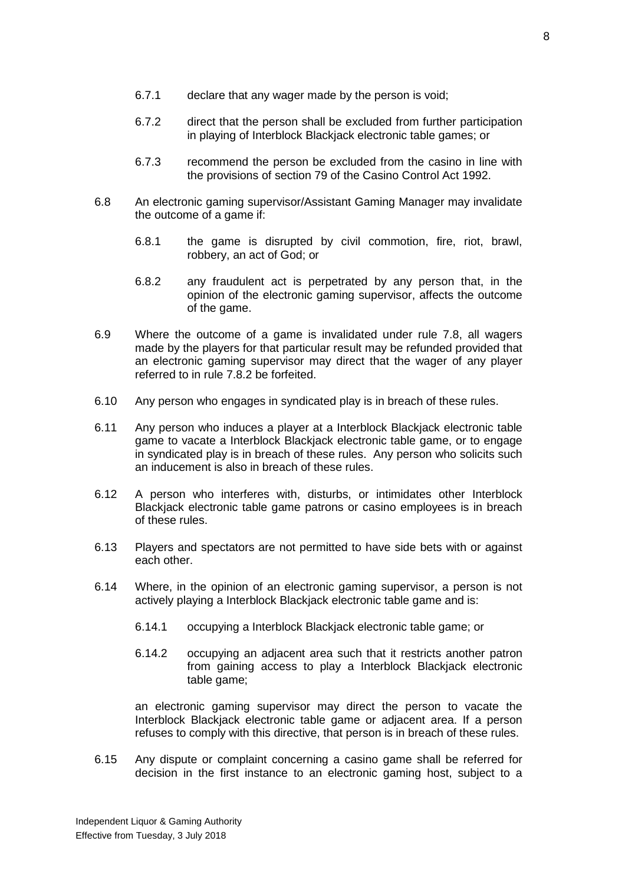- 6.7.1 declare that any wager made by the person is void;
- 6.7.2 direct that the person shall be excluded from further participation in playing of Interblock Blackjack electronic table games; or
- 6.7.3 recommend the person be excluded from the casino in line with the provisions of section 79 of the Casino Control Act 1992.
- 6.8 An electronic gaming supervisor/Assistant Gaming Manager may invalidate the outcome of a game if:
	- 6.8.1 the game is disrupted by civil commotion, fire, riot, brawl, robbery, an act of God; or
	- 6.8.2 any fraudulent act is perpetrated by any person that, in the opinion of the electronic gaming supervisor, affects the outcome of the game.
- 6.9 Where the outcome of a game is invalidated under rule 7.8, all wagers made by the players for that particular result may be refunded provided that an electronic gaming supervisor may direct that the wager of any player referred to in rule 7.8.2 be forfeited.
- 6.10 Any person who engages in syndicated play is in breach of these rules.
- 6.11 Any person who induces a player at a Interblock Blackjack electronic table game to vacate a Interblock Blackjack electronic table game, or to engage in syndicated play is in breach of these rules. Any person who solicits such an inducement is also in breach of these rules.
- 6.12 A person who interferes with, disturbs, or intimidates other Interblock Blackjack electronic table game patrons or casino employees is in breach of these rules.
- 6.13 Players and spectators are not permitted to have side bets with or against each other.
- 6.14 Where, in the opinion of an electronic gaming supervisor, a person is not actively playing a Interblock Blackjack electronic table game and is:
	- 6.14.1 occupying a Interblock Blackjack electronic table game; or
	- 6.14.2 occupying an adjacent area such that it restricts another patron from gaining access to play a Interblock Blackjack electronic table game;

an electronic gaming supervisor may direct the person to vacate the Interblock Blackjack electronic table game or adjacent area. If a person refuses to comply with this directive, that person is in breach of these rules.

6.15 Any dispute or complaint concerning a casino game shall be referred for decision in the first instance to an electronic gaming host, subject to a